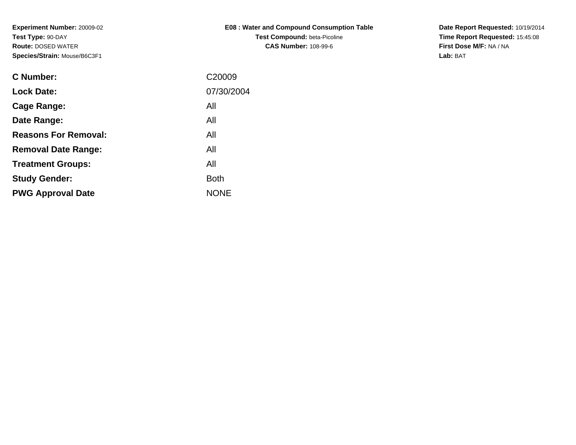**Experiment Number:** 20009-02**Test Type:** 90-DAY **Route:** DOSED WATER**Species/Strain:** Mouse/B6C3F1

| <b>E08: Water and Compound Consumption Table</b> |
|--------------------------------------------------|
| <b>Test Compound:</b> beta-Picoline              |
| <b>CAS Number: 108-99-6</b>                      |

**Date Report Requested:** 10/19/2014 **Time Report Requested:** 15:45:08**First Dose M/F:** NA / NA**Lab:** BAT

| C Number:                   | C <sub>20009</sub> |
|-----------------------------|--------------------|
| <b>Lock Date:</b>           | 07/30/2004         |
| Cage Range:                 | All                |
| Date Range:                 | All                |
| <b>Reasons For Removal:</b> | All                |
| <b>Removal Date Range:</b>  | All                |
| <b>Treatment Groups:</b>    | All                |
| <b>Study Gender:</b>        | <b>Both</b>        |
| <b>PWG Approval Date</b>    | <b>NONE</b>        |
|                             |                    |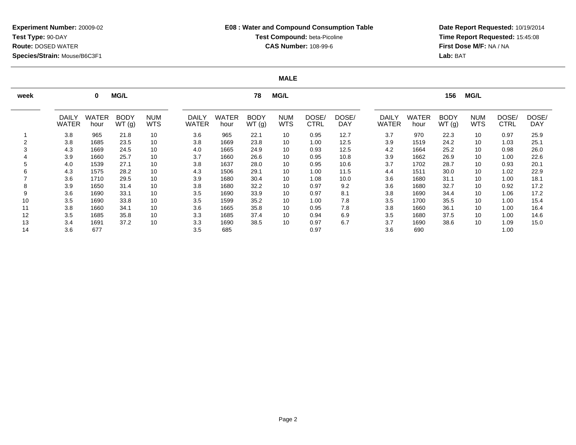**Date Report Requested:** 10/19/2014 **Time Report Requested:** 15:45:08**First Dose M/F:** NA / NA**Lab:** BAT

#### **MALE**

| week | <b>MG/L</b><br><b>MG/L</b><br>78<br>0 |                      |                      |                          |                              |               |                      |                          | <b>MG/L</b><br>156   |                     |                              |                      |                      |                          |               |                     |
|------|---------------------------------------|----------------------|----------------------|--------------------------|------------------------------|---------------|----------------------|--------------------------|----------------------|---------------------|------------------------------|----------------------|----------------------|--------------------------|---------------|---------------------|
|      | <b>DAILY</b><br><b>WATER</b>          | <b>WATER</b><br>hour | <b>BODY</b><br>WT(g) | <b>NUM</b><br><b>WTS</b> | <b>DAILY</b><br><b>WATER</b> | WATER<br>hour | <b>BODY</b><br>WT(g) | <b>NUM</b><br><b>WTS</b> | DOSE/<br><b>CTRL</b> | DOSE/<br><b>DAY</b> | <b>DAILY</b><br><b>WATER</b> | <b>WATER</b><br>hour | <b>BODY</b><br>WT(g) | <b>NUM</b><br><b>WTS</b> | DOSE/<br>CTRL | DOSE/<br><b>DAY</b> |
|      | 3.8                                   | 965                  | 21.8                 | 10                       | 3.6                          | 965           | 22.1                 | 10                       | 0.95                 | 12.7                | 3.7                          | 970                  | 22.3                 | 10                       | 0.97          | 25.9                |
| 2    | 3.8                                   | 1685                 | 23.5                 | 10                       | 3.8                          | 1669          | 23.8                 | 10                       | 1.00                 | 12.5                | 3.9                          | 1519                 | 24.2                 | 10                       | 1.03          | 25.1                |
| 3    | 4.3                                   | 1669                 | 24.5                 | 10                       | 4.0                          | 1665          | 24.9                 | 10                       | 0.93                 | 12.5                | 4.2                          | 1664                 | 25.2                 | 10                       | 0.98          | 26.0                |
|      | 3.9                                   | 1660                 | 25.7                 | 10                       | 3.7                          | 1660          | 26.6                 | 10                       | 0.95                 | 10.8                | 3.9                          | 1662                 | 26.9                 | 10                       | 1.00          | 22.6                |
| 5    | 4.0                                   | 1539                 | 27.1                 | 10                       | 3.8                          | 1637          | 28.0                 | 10                       | 0.95                 | 10.6                | 3.7                          | 1702                 | 28.7                 | 10                       | 0.93          | 20.1                |
| 6    | 4.3                                   | 1575                 | 28.2                 | 10                       | 4.3                          | 1506          | 29.1                 | 10                       | 1.00                 | 11.5                | 4.4                          | 1511                 | 30.0                 | 10                       | 1.02          | 22.9                |
|      | 3.6                                   | 1710                 | 29.5                 | 10                       | 3.9                          | 1680          | 30.4                 | 10                       | 1.08                 | 10.0                | 3.6                          | 1680                 | 31.1                 | 10                       | 1.00          | 18.1                |
| 8    | 3.9                                   | 1650                 | 31.4                 | 10                       | 3.8                          | 1680          | 32.2                 | 10                       | 0.97                 | 9.2                 | 3.6                          | 1680                 | 32.7                 | 10                       | 0.92          | 17.2                |
| 9    | 3.6                                   | 1690                 | 33.1                 | 10                       | 3.5                          | 1690          | 33.9                 | 10                       | 0.97                 | 8.1                 | 3.8                          | 1690                 | 34.4                 | 10                       | 1.06          | 17.2                |
| 10   | 3.5                                   | 1690                 | 33.8                 | 10                       | 3.5                          | 1599          | 35.2                 | 10                       | 1.00                 | 7.8                 | 3.5                          | 1700                 | 35.5                 | 10                       | 1.00          | 15.4                |
| 11   | 3.8                                   | 1660                 | 34.1                 | 10                       | 3.6                          | 1665          | 35.8                 | 10                       | 0.95                 | 7.8                 | 3.8                          | 1660                 | 36.1                 | 10                       | 1.00          | 16.4                |
| 12   | 3.5                                   | 1685                 | 35.8                 | 10                       | 3.3                          | 1685          | 37.4                 | 10                       | 0.94                 | 6.9                 | 3.5                          | 1680                 | 37.5                 | 10                       | 1.00          | 14.6                |
| 13   | 3.4                                   | 1691                 | 37.2                 | 10                       | 3.3                          | 1690          | 38.5                 | 10                       | 0.97                 | 6.7                 | 3.7                          | 1690                 | 38.6                 | 10                       | 1.09          | 15.0                |
| 14   | 3.6                                   | 677                  |                      |                          | 3.5                          | 685           |                      |                          | 0.97                 |                     | 3.6                          | 690                  |                      |                          | 1.00          |                     |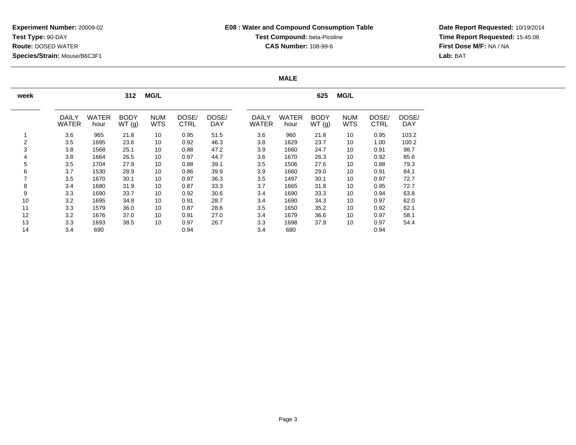**Date Report Requested:** 10/19/2014 **Time Report Requested:** 15:45:08**First Dose M/F:** NA / NA**Lab:** BAT

#### **MALE**

| week                     |                              |                      | 312                  | <b>MG/L</b>              |               |              |                              |                      | 625                  | <b>MG/L</b>              |               |                     |
|--------------------------|------------------------------|----------------------|----------------------|--------------------------|---------------|--------------|------------------------------|----------------------|----------------------|--------------------------|---------------|---------------------|
|                          | <b>DAILY</b><br><b>WATER</b> | <b>WATER</b><br>hour | <b>BODY</b><br>WT(g) | <b>NUM</b><br><b>WTS</b> | DOSE/<br>CTRL | DOSE/<br>DAY | <b>DAILY</b><br><b>WATER</b> | <b>WATER</b><br>hour | <b>BODY</b><br>WT(g) | <b>NUM</b><br><b>WTS</b> | DOSE/<br>CTRL | DOSE/<br><b>DAY</b> |
|                          | 3.6                          | 965                  | 21.8                 | 10                       | 0.95          | 51.5         | 3.6                          | 960                  | 21.8                 | 10                       | 0.95          | 103.2               |
| 2                        | 3.5                          | 1695                 | 23.6                 | 10                       | 0.92          | 46.3         | 3.8                          | 1629                 | 23.7                 | 10                       | 1.00          | 100.2               |
| 3                        | 3.8                          | 1568                 | 25.1                 | 10                       | 0.88          | 47.2         | 3.9                          | 1660                 | 24.7                 | 10                       | 0.91          | 98.7                |
| 4                        | 3.8                          | 1664                 | 26.5                 | 10                       | 0.97          | 44.7         | 3.6                          | 1670                 | 26.3                 | 10                       | 0.92          | 85.6                |
| 5                        | 3.5                          | 1704                 | 27.9                 | 10                       | 0.88          | 39.1         | 3.5                          | 1506                 | 27.6                 | 10                       | 0.88          | 79.3                |
| 6                        | 3.7                          | 1530                 | 28.9                 | 10                       | 0.86          | 39.9         | 3.9                          | 1660                 | 29.0                 | 10                       | 0.91          | 84.1                |
| $\overline{\phantom{a}}$ | 3.5                          | 1670                 | 30.1                 | 10                       | 0.97          | 36.3         | 3.5                          | 1497                 | 30.1                 | 10                       | 0.97          | 72.7                |
| 8                        | 3.4                          | 1680                 | 31.9                 | 10                       | 0.87          | 33.3         | 3.7                          | 1665                 | 31.8                 | 10                       | 0.95          | 72.7                |
| 9                        | 3.3                          | 1690                 | 33.7                 | 10                       | 0.92          | 30.6         | 3.4                          | 1690                 | 33.3                 | 10                       | 0.94          | 63.8                |
| 10                       | 3.2                          | 1695                 | 34.8                 | 10                       | 0.91          | 28.7         | 3.4                          | 1690                 | 34.3                 | 10                       | 0.97          | 62.0                |
| 11                       | 3.3                          | 1579                 | 36.0                 | 10                       | 0.87          | 28.6         | 3.5                          | 1650                 | 35.2                 | 10                       | 0.92          | 62.1                |
| 12                       | 3.2                          | 1676                 | 37.0                 | 10                       | 0.91          | 27.0         | 3.4                          | 1679                 | 36.6                 | 10                       | 0.97          | 58.1                |
| 13                       | 3.3                          | 1693                 | 38.5                 | 10                       | 0.97          | 26.7         | 3.3                          | 1698                 | 37.9                 | 10                       | 0.97          | 54.4                |
| 14                       | 3.4                          | 690                  |                      |                          | 0.94          |              | 3.4                          | 680                  |                      |                          | 0.94          |                     |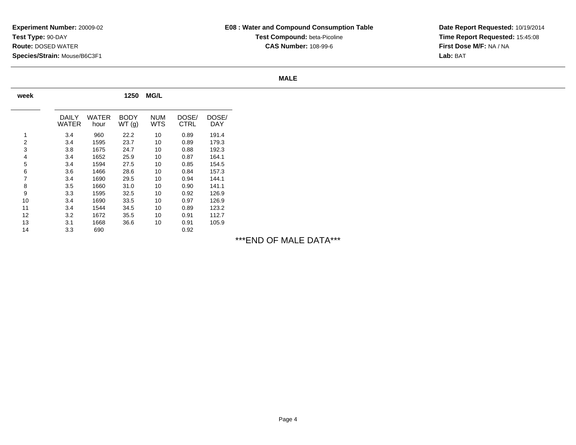**Date Report Requested:** 10/19/2014 **Time Report Requested:** 15:45:08**First Dose M/F:** NA / NA**Lab:** BAT

#### **MALE**

| week |                |               | 1250                 | <b>MG/L</b>              |                      |              |
|------|----------------|---------------|----------------------|--------------------------|----------------------|--------------|
|      | DAILY<br>WATER | WATER<br>hour | <b>BODY</b><br>WT(g) | <b>NUM</b><br><b>WTS</b> | DOSE/<br><b>CTRL</b> | DOSE/<br>DAY |
| 1    | 3.4            | 960           | 22.2                 | 10                       | 0.89                 | 191.4        |
| 2    | 3.4            | 1595          | 23.7                 | 10                       | 0.89                 | 179.3        |
| 3    | 3.8            | 1675          | 24.7                 | 10                       | 0.88                 | 192.3        |
| 4    | 3.4            | 1652          | 25.9                 | 10                       | 0.87                 | 164.1        |
| 5    | 3.4            | 1594          | 27.5                 | 10                       | 0.85                 | 154.5        |
| 6    | 3.6            | 1466          | 28.6                 | 10                       | 0.84                 | 157.3        |
| 7    | 3.4            | 1690          | 29.5                 | 10                       | 0.94                 | 144.1        |
| 8    | 3.5            | 1660          | 31.0                 | 10                       | 0.90                 | 141.1        |
| 9    | 3.3            | 1595          | 32.5                 | 10                       | 0.92                 | 126.9        |
| 10   | 3.4            | 1690          | 33.5                 | 10                       | 0.97                 | 126.9        |
| 11   | 3.4            | 1544          | 34.5                 | 10                       | 0.89                 | 123.2        |
| 12   | 3.2            | 1672          | 35.5                 | 10                       | 0.91                 | 112.7        |
| 13   | 3.1            | 1668          | 36.6                 | 10                       | 0.91                 | 105.9        |
| 14   | 3.3            | 690           |                      |                          | 0.92                 |              |

# \*\*\*END OF MALE DATA\*\*\*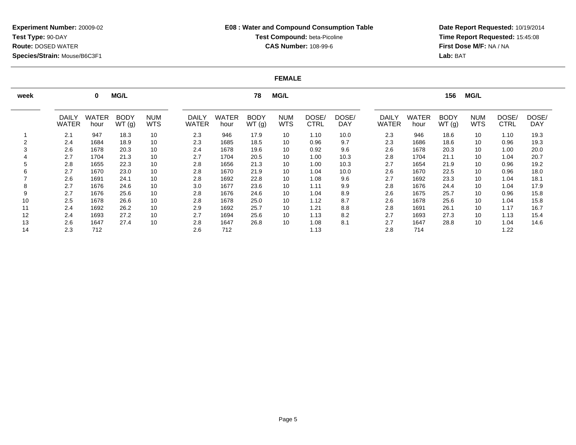**Date Report Requested:** 10/19/2014 **Time Report Requested:** 15:45:08**First Dose M/F:** NA / NA**Lab:** BAT

#### **FEMALE**

| week | <b>MG/L</b><br><b>MG/L</b><br>78<br>$\bf{0}$ |                      |                      |                          |                              |                      |                      |                          | <b>MG/L</b><br>156   |                     |                              |                      |               |                          |                      |                     |
|------|----------------------------------------------|----------------------|----------------------|--------------------------|------------------------------|----------------------|----------------------|--------------------------|----------------------|---------------------|------------------------------|----------------------|---------------|--------------------------|----------------------|---------------------|
|      | <b>DAILY</b><br><b>WATER</b>                 | <b>WATER</b><br>hour | <b>BODY</b><br>WT(g) | <b>NUM</b><br><b>WTS</b> | <b>DAILY</b><br><b>WATER</b> | <b>WATER</b><br>hour | <b>BODY</b><br>WT(g) | <b>NUM</b><br><b>WTS</b> | DOSE/<br><b>CTRL</b> | DOSE/<br><b>DAY</b> | <b>DAILY</b><br><b>WATER</b> | <b>WATER</b><br>hour | BODY<br>WT(g) | <b>NUM</b><br><b>WTS</b> | DOSE/<br><b>CTRL</b> | DOSE/<br><b>DAY</b> |
|      | 2.1                                          | 947                  | 18.3                 | 10                       | 2.3                          | 946                  | 17.9                 | 10                       | 1.10                 | 10.0                | 2.3                          | 946                  | 18.6          | 10                       | 1.10                 | 19.3                |
|      | 2.4                                          | 1684                 | 18.9                 | 10                       | 2.3                          | 1685                 | 18.5                 | 10                       | 0.96                 | 9.7                 | 2.3                          | 1686                 | 18.6          | 10                       | 0.96                 | 19.3                |
|      | 2.6                                          | 1678                 | 20.3                 | 10                       | 2.4                          | 1678                 | 19.6                 | 10                       | 0.92                 | 9.6                 | 2.6                          | 1678                 | 20.3          | 10                       | 1.00                 | 20.0                |
|      | 2.7                                          | 1704                 | 21.3                 | 10                       | 2.7                          | 1704                 | 20.5                 | 10                       | 1.00                 | 10.3                | 2.8                          | 1704                 | 21.1          | 10                       | 1.04                 | 20.7                |
|      | 2.8                                          | 1655                 | 22.3                 | 10                       | 2.8                          | 1656                 | 21.3                 | 10                       | 1.00                 | 10.3                | 2.7                          | 1654                 | 21.9          | 10                       | 0.96                 | 19.2                |
|      | 2.7                                          | 1670                 | 23.0                 | 10                       | 2.8                          | 1670                 | 21.9                 | 10                       | 1.04                 | 10.0                | 2.6                          | 1670                 | 22.5          | 10                       | 0.96                 | 18.0                |
|      | 2.6                                          | 1691                 | 24.1                 | 10                       | 2.8                          | 1692                 | 22.8                 | 10                       | 1.08                 | 9.6                 | 2.7                          | 1692                 | 23.3          | 10                       | 1.04                 | 18.1                |
|      | 2.7                                          | 1676                 | 24.6                 | 10                       | 3.0                          | 1677                 | 23.6                 | 10                       | 1.11                 | 9.9                 | 2.8                          | 1676                 | 24.4          | 10                       | 1.04                 | 17.9                |
|      | 2.7                                          | 1676                 | 25.6                 | 10                       | 2.8                          | 1676                 | 24.6                 | 10                       | 1.04                 | 8.9                 | 2.6                          | 1675                 | 25.7          | 10                       | 0.96                 | 15.8                |
| 10   | 2.5                                          | 1678                 | 26.6                 | 10                       | 2.8                          | 1678                 | 25.0                 | 10                       | 1.12                 | 8.7                 | 2.6                          | 1678                 | 25.6          | 10                       | 1.04                 | 15.8                |
| 11   | 2.4                                          | 1692                 | 26.2                 | 10                       | 2.9                          | 1692                 | 25.7                 | 10                       | 1.21                 | 8.8                 | 2.8                          | 1691                 | 26.1          | 10                       | 1.17                 | 16.7                |
| 12   | 2.4                                          | 1693                 | 27.2                 | 10                       | 2.7                          | 1694                 | 25.6                 | 10                       | 1.13                 | 8.2                 | 2.7                          | 1693                 | 27.3          | 10                       | 1.13                 | 15.4                |
| 13   | 2.6                                          | 1647                 | 27.4                 | 10                       | 2.8                          | 1647                 | 26.8                 | 10                       | 1.08                 | 8.1                 | 2.7                          | 1647                 | 28.8          | 10                       | 1.04                 | 14.6                |
| 14   | 2.3                                          | 712                  |                      |                          | 2.6                          | 712                  |                      |                          | 1.13                 |                     | 2.8                          | 714                  |               |                          | 1.22                 |                     |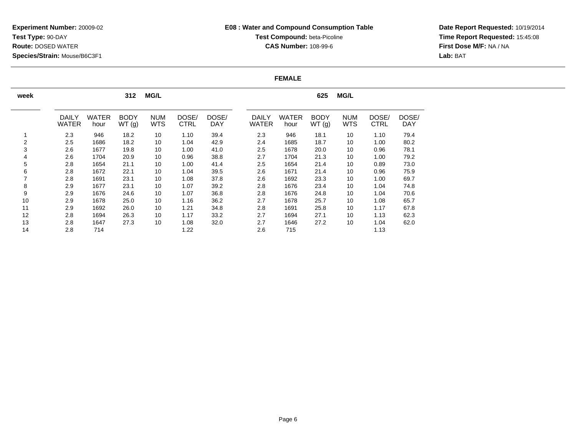**Date Report Requested:** 10/19/2014 **Time Report Requested:** 15:45:08**First Dose M/F:** NA / NA**Lab:** BAT

#### **FEMALE**

| week           |              |              | 312         | <b>MG/L</b> |             |            |              |              | 625         | <b>MG/L</b> |             |            |
|----------------|--------------|--------------|-------------|-------------|-------------|------------|--------------|--------------|-------------|-------------|-------------|------------|
|                | <b>DAILY</b> | <b>WATER</b> | <b>BODY</b> | <b>NUM</b>  | DOSE/       | DOSE/      | <b>DAILY</b> | <b>WATER</b> | <b>BODY</b> | <b>NUM</b>  | DOSE/       | DOSE/      |
|                | <b>WATER</b> | hour         | WT(g)       | <b>WTS</b>  | <b>CTRL</b> | <b>DAY</b> | <b>WATER</b> | hour         | WT(g)       | <b>WTS</b>  | <b>CTRL</b> | <b>DAY</b> |
|                | 2.3          | 946          | 18.2        | 10          | 1.10        | 39.4       | 2.3          | 946          | 18.1        | 10          | 1.10        | 79.4       |
| $\overline{2}$ | 2.5          | 1686         | 18.2        | 10          | 1.04        | 42.9       | 2.4          | 1685         | 18.7        | 10          | 1.00        | 80.2       |
| 3              | 2.6          | 1677         | 19.8        | 10          | 1.00        | 41.0       | 2.5          | 1678         | 20.0        | 10          | 0.96        | 78.1       |
| 4              | 2.6          | 1704         | 20.9        | 10          | 0.96        | 38.8       | 2.7          | 1704         | 21.3        | 10          | 1.00        | 79.2       |
| 5              | 2.8          | 1654         | 21.1        | 10          | 1.00        | 41.4       | 2.5          | 1654         | 21.4        | 10          | 0.89        | 73.0       |
| 6              | 2.8          | 1672         | 22.1        | 10          | 1.04        | 39.5       | 2.6          | 1671         | 21.4        | 10          | 0.96        | 75.9       |
|                | 2.8          | 1691         | 23.1        | 10          | 1.08        | 37.8       | 2.6          | 1692         | 23.3        | 10          | 1.00        | 69.7       |
| 8              | 2.9          | 1677         | 23.1        | 10          | 1.07        | 39.2       | 2.8          | 1676         | 23.4        | 10          | 1.04        | 74.8       |
| 9              | 2.9          | 1676         | 24.6        | 10          | 1.07        | 36.8       | 2.8          | 1676         | 24.8        | 10          | 1.04        | 70.6       |
| 10             | 2.9          | 1678         | 25.0        | 10          | 1.16        | 36.2       | 2.7          | 1678         | 25.7        | 10          | 1.08        | 65.7       |
| 11             | 2.9          | 1692         | 26.0        | 10          | 1.21        | 34.8       | 2.8          | 1691         | 25.8        | 10          | 1.17        | 67.8       |
| 12             | 2.8          | 1694         | 26.3        | 10          | 1.17        | 33.2       | 2.7          | 1694         | 27.1        | 10          | 1.13        | 62.3       |
| 13             | 2.8          | 1647         | 27.3        | 10          | 1.08        | 32.0       | 2.7          | 1646         | 27.2        | 10          | 1.04        | 62.0       |
| 14             | 2.8          | 714          |             |             | 1.22        |            | 2.6          | 715          |             |             | 1.13        |            |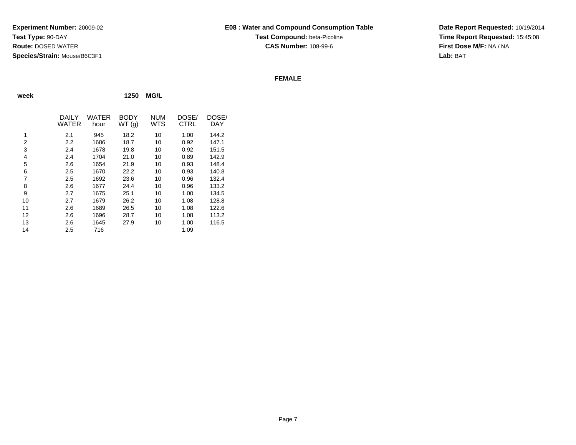**Date Report Requested:** 10/19/2014 **Time Report Requested:** 15:45:08**First Dose M/F:** NA / NA**Lab:** BAT

#### **FEMALE**

| week           |                |               | 1250                 | <b>MG/L</b>       |               |                     |
|----------------|----------------|---------------|----------------------|-------------------|---------------|---------------------|
|                | DAILY<br>WATER | WATER<br>hour | <b>BODY</b><br>WT(g) | NUM<br><b>WTS</b> | DOSE/<br>CTRL | DOSE/<br><b>DAY</b> |
| 1              | 2.1            | 945           | 18.2                 | 10                | 1.00          | 144.2               |
| 2              | 2.2            | 1686          | 18.7                 | 10                | 0.92          | 147.1               |
| 3              | 2.4            | 1678          | 19.8                 | 10                | 0.92          | 151.5               |
| 4              | 2.4            | 1704          | 21.0                 | 10                | 0.89          | 142.9               |
| 5              | 2.6            | 1654          | 21.9                 | 10                | 0.93          | 148.4               |
| 6              | 2.5            | 1670          | 22.2                 | 10                | 0.93          | 140.8               |
| $\overline{7}$ | 2.5            | 1692          | 23.6                 | 10                | 0.96          | 132.4               |
| 8              | 2.6            | 1677          | 24.4                 | 10                | 0.96          | 133.2               |
| 9              | 2.7            | 1675          | 25.1                 | 10                | 1.00          | 134.5               |
| 10             | 2.7            | 1679          | 26.2                 | 10                | 1.08          | 128.8               |
| 11             | 2.6            | 1689          | 26.5                 | 10                | 1.08          | 122.6               |
| 12             | 2.6            | 1696          | 28.7                 | 10                | 1.08          | 113.2               |
| 13             | 2.6            | 1645          | 27.9                 | 10                | 1.00          | 116.5               |
| 14             | 2.5            | 716           |                      |                   | 1.09          |                     |